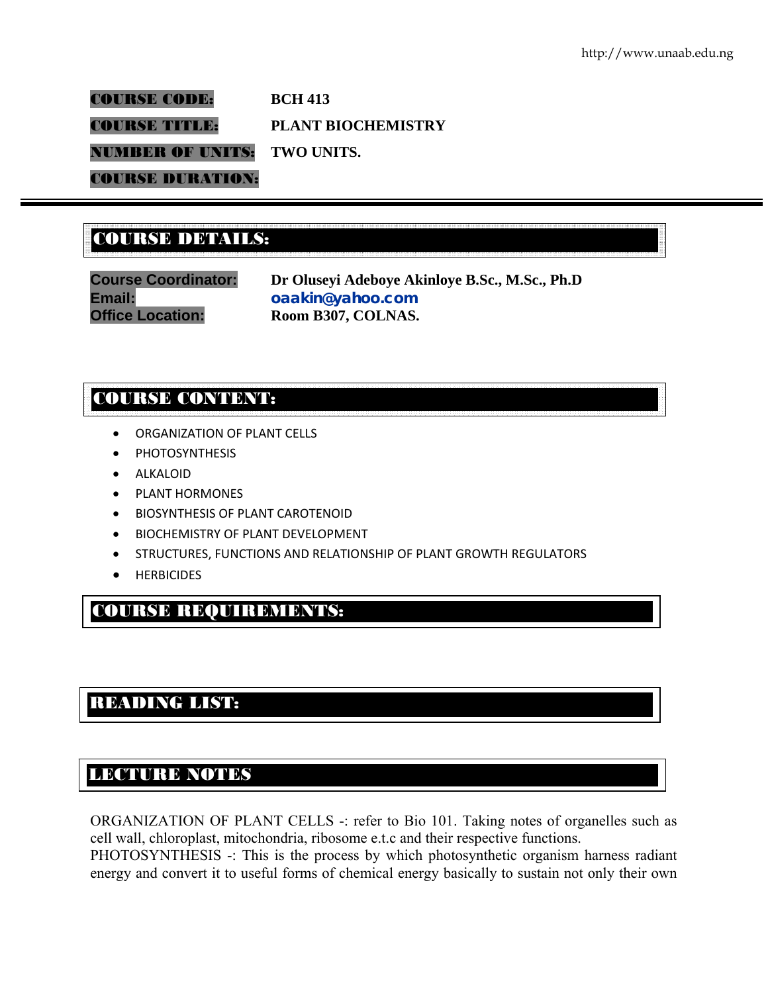COURSE CODE: **BCH 413**  COURSE TITLE: **PLANT BIOCHEMISTRY**  NUMBER OF UNITS: **TWO UNITS.**  COURSE DURATION:

# COURSE DETAILS: COURSE DETAILS:

**Course Coordinator: Dr Oluseyi Adeboye Akinloye B.Sc., M.Sc., Ph.D Email: oaakin@yahoo.com Office Location: Room B307, COLNAS.** 

# COURSE CONTENT:

- ORGANIZATION OF PLANT CELLS
- PHOTOSYNTHESIS
- ALKALOID
- PLANT HORMONES
- BIOSYNTHESIS OF PLANT CAROTENOID
- BIOCHEMISTRY OF PLANT DEVELOPMENT
- STRUCTURES, FUNCTIONS AND RELATIONSHIP OF PLANT GROWTH REGULATORS
- HERBICIDES

# COURSE REQUIREMENTS:

# READING LIST:

# LECTURE NOTES

E

ORGANIZATION OF PLANT CELLS -: refer to Bio 101. Taking notes of organelles such as cell wall, chloroplast, mitochondria, ribosome e.t.c and their respective functions.

PHOTOSYNTHESIS -: This is the process by which photosynthetic organism harness radiant energy and convert it to useful forms of chemical energy basically to sustain not only their own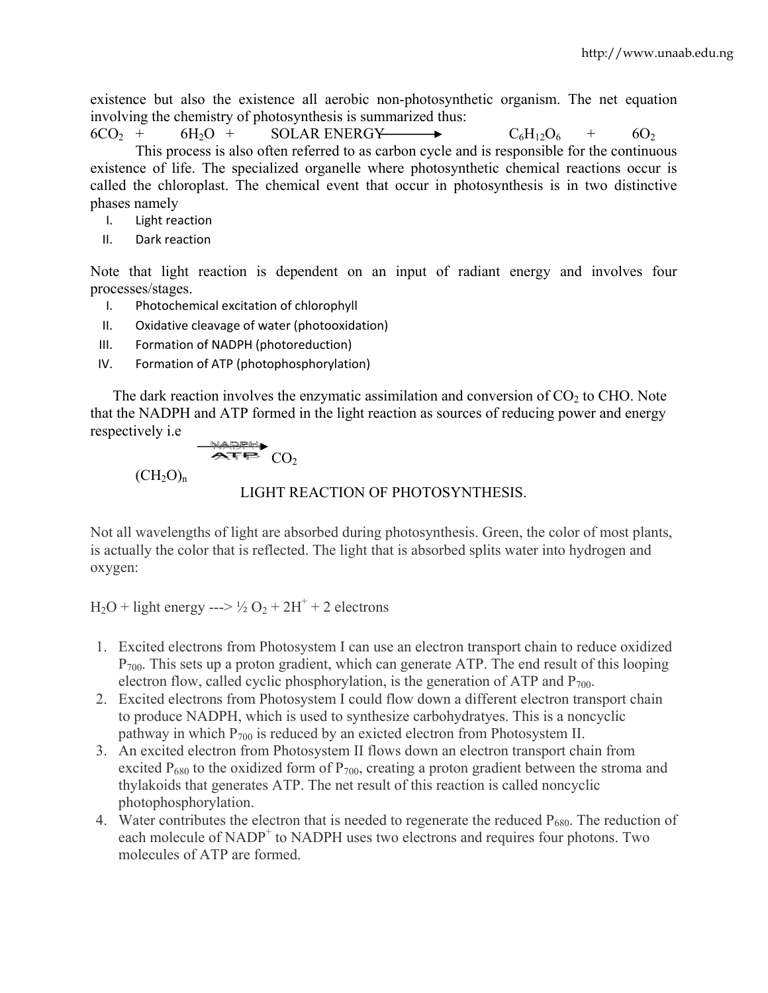existence but also the existence all aerobic non-photosynthetic organism. The net equation involving the chemistry of photosynthesis is summarized thus:

 $6CO_2$  +  $6H_2O$  + SOLAR ENERGY  $\longrightarrow$   $C_6H_{12}O_6$  +  $6O_2$ This process is also often referred to as carbon cycle and is responsible for the continuous existence of life. The specialized organelle where photosynthetic chemical reactions occur is called the chloroplast. The chemical event that occur in photosynthesis is in two distinctive phases namely

- I. Light reaction
- II. Dark reaction

Note that light reaction is dependent on an input of radiant energy and involves four processes/stages.

- I. Photochemical excitation of chlorophyll
- II. Oxidative cleavage of water (photooxidation)
- III. Formation of NADPH (photoreduction)
- IV. Formation of ATP (photophosphorylation)

The dark reaction involves the enzymatic assimilation and conversion of  $CO<sub>2</sub>$  to CHO. Note that the NADPH and ATP formed in the light reaction as sources of reducing power and energy respectively i.e

$$
\overbrace{\mathbf{ATP}}^{\mathbf{NAPPH}} \mathbf{CO}_{2}
$$

 $(CH_2O)_n$ 

## LIGHT REACTION OF PHOTOSYNTHESIS.

Not all wavelengths of light are absorbed during photosynthesis. Green, the color of most plants, is actually the color that is reflected. The light that is absorbed splits water into hydrogen and oxygen:

 $H_2O$  + light energy --->  $\frac{1}{2}O_2$  + 2H<sup>+</sup> + 2 electrons

- 1. Excited electrons from Photosystem I can use an electron transport chain to reduce oxidized  $P_{700}$ . This sets up a proton gradient, which can generate ATP. The end result of this looping electron flow, called cyclic phosphorylation, is the generation of ATP and  $P_{700}$ .
- 2. Excited electrons from Photosystem I could flow down a different electron transport chain to produce NADPH, which is used to synthesize carbohydratyes. This is a noncyclic pathway in which  $P_{700}$  is reduced by an exicted electron from Photosystem II.
- 3. An excited electron from Photosystem II flows down an electron transport chain from excited  $P_{680}$  to the oxidized form of  $P_{700}$ , creating a proton gradient between the stroma and thylakoids that generates ATP. The net result of this reaction is called noncyclic photophosphorylation.
- 4. Water contributes the electron that is needed to regenerate the reduced  $P_{680}$ . The reduction of each molecule of NADP<sup>+</sup> to NADPH uses two electrons and requires four photons. Two molecules of ATP are formed.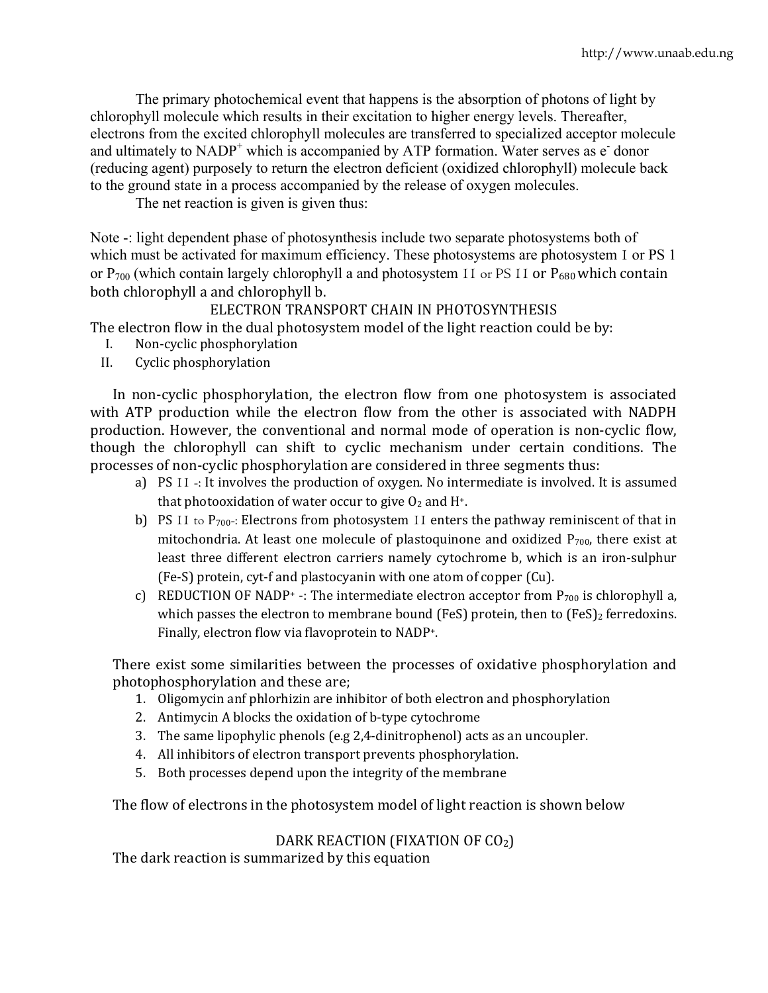The primary photochemical event that happens is the absorption of photons of light by chlorophyll molecule which results in their excitation to higher energy levels. Thereafter, electrons from the excited chlorophyll molecules are transferred to specialized acceptor molecule and ultimately to  $NADP^+$  which is accompanied by ATP formation. Water serves as  $\vec{e}$  donor (reducing agent) purposely to return the electron deficient (oxidized chlorophyll) molecule back to the ground state in a process accompanied by the release of oxygen molecules.

The net reaction is given is given thus:

Note -: light dependent phase of photosynthesis include two separate photosystems both of which must be activated for maximum efficiency. These photosystems are photosystem 1 or PS 1 or  $P_{700}$  (which contain largely chlorophyll a and photosystem 11 or PS 11 or  $P_{680}$  which contain both chlorophyll a and chlorophyll b.

ELECTRON TRANSPORT CHAIN IN PHOTOSYNTHESIS

The electron flow in the dual photosystem model of the light reaction could be by:

- I. Non‐cyclic phosphorylation
- II. Cyclic phosphorylation

In non-cyclic phosphorylation, the electron flow from one photosystem is associated with ATP production while the electron flow from the other is associated with NADPH production. However, the conventional and normal mode of operation is non‐cyclic flow, though the chlorophyll can shift to cyclic mechanism under certain conditions. The processes of non‐cyclic phosphorylation are considered in three segments thus:

- a) PS 11 -: It involves the production of oxygen. No intermediate is involved. It is assumed that photooxidation of water occur to give  $O_2$  and H<sup>+</sup>.
- b) PS 11 to  $P_{700}$ -: Electrons from photosystem 11 enters the pathway reminiscent of that in mitochondria. At least one molecule of plastoquinone and oxidized  $P_{700}$ , there exist at least three different electron carriers namely cytochrome b, which is an iron-sulphur (Fe‐S) protein, cyt‐f and plastocyanin with one atom of copper (Cu).
- c) REDUCTION OF NADP<sup>+</sup> -: The intermediate electron acceptor from  $P_{700}$  is chlorophyll a, which passes the electron to membrane bound (FeS) protein, then to  $(FeS)_2$  ferredoxins. Finally, electron flow via flavoprotein to NADP+.

There exist some similarities between the processes of oxidative phosphorylation and photophosphorylation and these are;

- 1. Oligomycin anf phlorhizin are inhibitor of both electron and phosphorylation
- 2. Antimycin A blocks the oxidation of b-type cytochrome
- 3. The same lipophylic phenols (e.g 2,4‐dinitrophenol) acts as an uncoupler.
- 4. All inhibitors of electron transport prevents phosphorylation.
- 5. Both processes depend upon the integrity of the membrane

The flow of electrons in the photosystem model of light reaction is shown below

# DARK REACTION (FIXATION OF CO<sub>2</sub>)

The dark reaction is summarized by this equation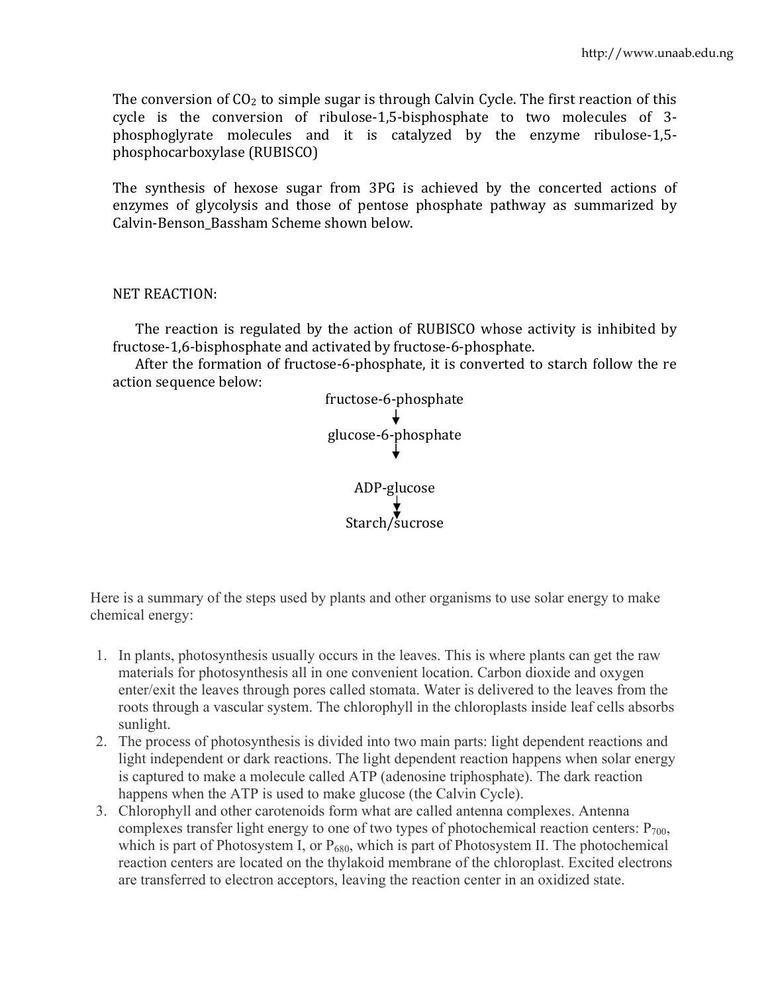The conversion of  $CO<sub>2</sub>$  to simple sugar is through Calvin Cycle. The first reaction of this cycle is the conversion of ribulose-1,5-bisphosphate to two molecules of 3phosphoglyrate molecules and it is catalyzed by the enzyme ribulose‐1,5‐ phosphocarboxylase (RUBISCO)

The synthesis of hexose sugar from 3PG is achieved by the concerted actions of enzymes of glycolysis and those of pentose phosphate pathway as summarized by Calvin‐Benson\_Bassham Scheme shown below.

### NET REACTION:

The reaction is regulated by the action of RUBISCO whose activity is inhibited by fructose‐1,6‐bisphosphate and activated by fructose‐6‐phosphate.

 After the formation of fructose‐6‐phosphate, it is converted to starch follow the re action sequence below:



Here is a summary of the steps used by plants and other organisms to use solar energy to make chemical energy:

- 1. In plants, photosynthesis usually occurs in the leaves. This is where plants can get the raw materials for photosynthesis all in one convenient location. Carbon dioxide and oxygen enter/exit the leaves through pores called stomata. Water is delivered to the leaves from the roots through a vascular system. The chlorophyll in the chloroplasts inside leaf cells absorbs sunlight.
- 2. The process of photosynthesis is divided into two main parts: light dependent reactions and light independent or dark reactions. The light dependent reaction happens when solar energy is captured to make a molecule called ATP (adenosine triphosphate). The dark reaction happens when the ATP is used to make glucose (the Calvin Cycle).
- 3. Chlorophyll and other carotenoids form what are called antenna complexes. Antenna complexes transfer light energy to one of two types of photochemical reaction centers:  $P_{700}$ , which is part of Photosystem I, or  $P_{680}$ , which is part of Photosystem II. The photochemical reaction centers are located on the thylakoid membrane of the chloroplast. Excited electrons are transferred to electron acceptors, leaving the reaction center in an oxidized state.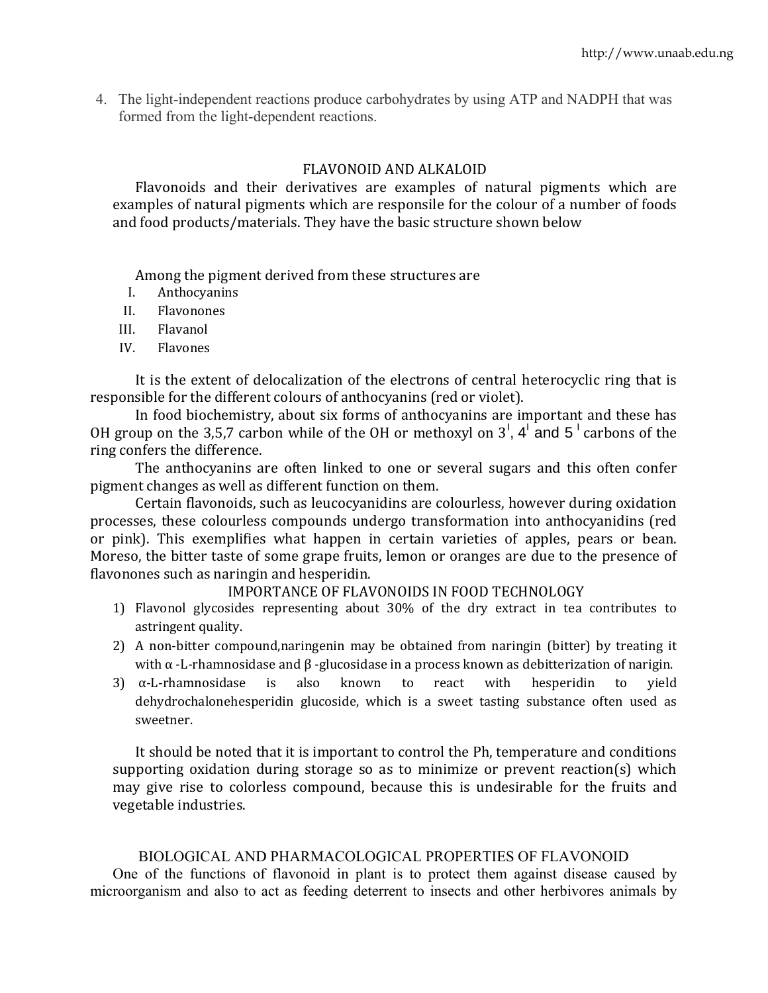4. The light-independent reactions produce carbohydrates by using ATP and NADPH that was formed from the light-dependent reactions.

## FLAVONOID AND ALKALOID

Flavonoids and their derivatives are examples of natural pigments which are examples of natural pigments which are responsile for the colour of a number of foods and food products/materials. They have the basic structure shown below

Among the pigment derived from these structures are

- I. Anthocyanins
- II. Flavonones
- III. Flavanol
- IV. Flavones

It is the extent of delocalization of the electrons of central heterocyclic ring that is responsible for the different colours of anthocyanins (red or violet).

In food biochemistry, about six forms of anthocyanins are important and these has OH group on the 3,5,7 carbon while of the OH or methoxyl on  $3^1$ , 4<sup>1</sup> and 5<sup>1</sup> carbons of the ring confers the difference.

The anthocyanins are often linked to one or several sugars and this often confer pigment changes as well as different function on them.

Certain flavonoids, such as leucocyanidins are colourless, however during oxidation processes, these colourless compounds undergo transformation into anthocyanidins (red or pink). This exemplifies what happen in certain varieties of apples, pears or bean. Moreso, the bitter taste of some grape fruits, lemon or oranges are due to the presence of flavonones such as naringin and hesperidin.

#### IMPORTANCE OF FLAVONOIDS IN FOOD TECHNOLOGY

- 1) Flavonol glycosides representing about 30% of the dry extract in tea contributes to astringent quality.
- 2) A non-bitter compound,naringenin may be obtained from naringin (bitter) by treating it with  $\alpha$  -L-rhamnosidase and  $\beta$  -glucosidase in a process known as debitterization of narigin.
- 3)  $\alpha$ -L-rhamnosidase is also known to react with hesperidin to yield dehydrochalonehesperidin glucoside, which is a sweet tasting substance often used as sweetner.

It should be noted that it is important to control the Ph, temperature and conditions supporting oxidation during storage so as to minimize or prevent reaction(s) which may give rise to colorless compound, because this is undesirable for the fruits and vegetable industries.

#### BIOLOGICAL AND PHARMACOLOGICAL PROPERTIES OF FLAVONOID

One of the functions of flavonoid in plant is to protect them against disease caused by microorganism and also to act as feeding deterrent to insects and other herbivores animals by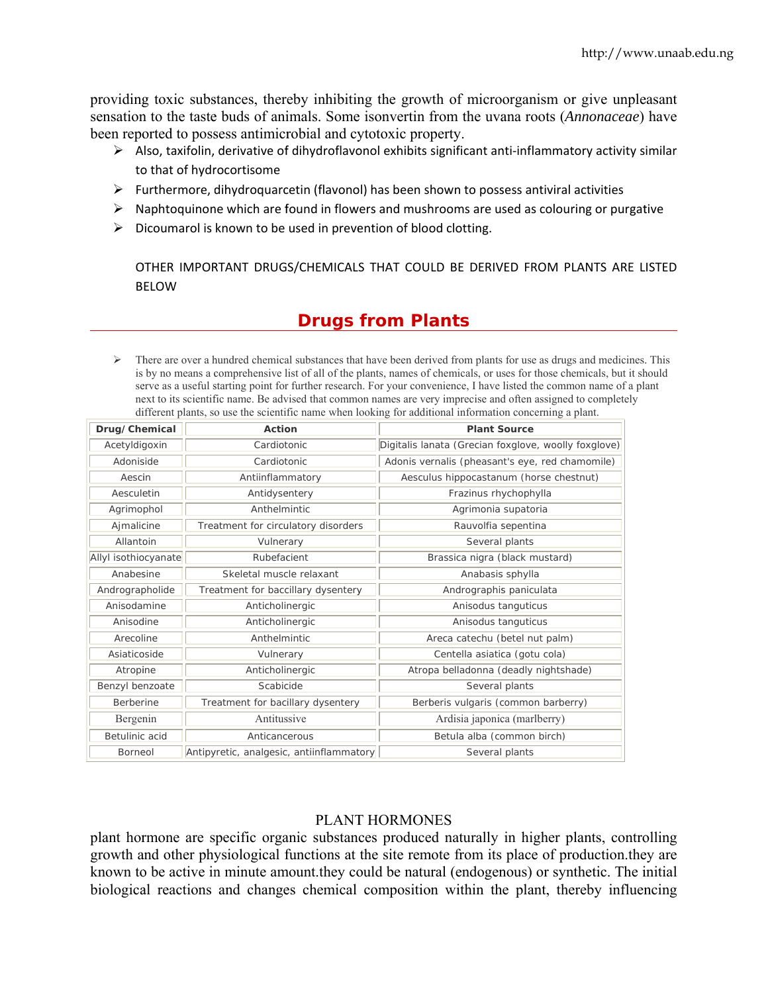providing toxic substances, thereby inhibiting the growth of microorganism or give unpleasant sensation to the taste buds of animals. Some isonvertin from the uvana roots (*Annonaceae*) have been reported to possess antimicrobial and cytotoxic property.

- ▶ Also, taxifolin, derivative of dihydroflavonol exhibits significant anti-inflammatory activity similar to that of hydrocortisome
- > Furthermore, dihydroquarcetin (flavonol) has been shown to possess antiviral activities
- > Naphtoquinone which are found in flowers and mushrooms are used as colouring or purgative
- > Dicoumarol is known to be used in prevention of blood clotting.

OTHER IMPORTANT DRUGS/CHEMICALS THAT COULD BE DERIVED FROM PLANTS ARE LISTED B ELOW

# **Drugs from Plants**

 $\triangleright$  There are over a hundred chemical substances that have been derived from plants for use as drugs and medicines. This is by no means a comprehensive list of all of the plants, names of chemicals, or uses for those chemicals, but it should serve as a useful starting point for further research. For your convenience, I have listed the common name of a plant next to its scientific name. Be advised that common names are very imprecise and often assigned to completely different plants, so use the scientific name when looking for additional information concerning a plant.

| Drug/Chemical        | Action                                   | <b>Plant Source</b>                                  |  |
|----------------------|------------------------------------------|------------------------------------------------------|--|
| Acetyldigoxin        | Cardiotonic                              | Digitalis lanata (Grecian foxglove, woolly foxglove) |  |
| Adoniside            | Cardiotonic                              | Adonis vernalis (pheasant's eye, red chamomile)      |  |
| Aescin               | Antiinflammatory                         | Aesculus hippocastanum (horse chestnut)              |  |
| Aesculetin           | Antidysentery                            | Frazinus rhychophylla                                |  |
| Agrimophol           | Anthelmintic                             | Agrimonia supatoria                                  |  |
| Ajmalicine           | Treatment for circulatory disorders      | Rauvolfia sepentina                                  |  |
| Allantoin            | Vulnerary                                | Several plants                                       |  |
| Allyl isothiocyanate | Rubefacient                              | Brassica nigra (black mustard)                       |  |
| Anabesine            | Skeletal muscle relaxant                 | Anabasis sphylla                                     |  |
| Andrographolide      | Treatment for baccillary dysentery       | Andrographis paniculata                              |  |
| Anisodamine          | Anticholinergic                          | Anisodus tanguticus                                  |  |
| Anisodine            | Anticholinergic                          | Anisodus tanguticus                                  |  |
| Arecoline            | Anthelmintic                             | Areca catechu (betel nut palm)                       |  |
| Asiaticoside         | Vulnerary                                | Centella asiatica (gotu cola)                        |  |
| Atropine             | Anticholinergic                          | Atropa belladonna (deadly nightshade)                |  |
| Benzyl benzoate      | Scabicide                                | Several plants                                       |  |
| <b>Berberine</b>     | Treatment for bacillary dysentery        | Berberis vulgaris (common barberry)                  |  |
| Bergenin             | Antitussive                              | Ardisia japonica (marlberry)                         |  |
| Betulinic acid       | Anticancerous                            | Betula alba (common birch)                           |  |
| <b>Borneol</b>       | Antipyretic, analgesic, antiinflammatory | Several plants                                       |  |

#### PLANT HORMONES

plant hormone are specific organic substances produced naturally in higher plants, controlling growth and other physiological functions at the site remote from its place of production they are known to be active in minute amount they could be natural (endogenous) or synthetic. The initial biological reactions and changes chemical composition within the plant, thereby influencing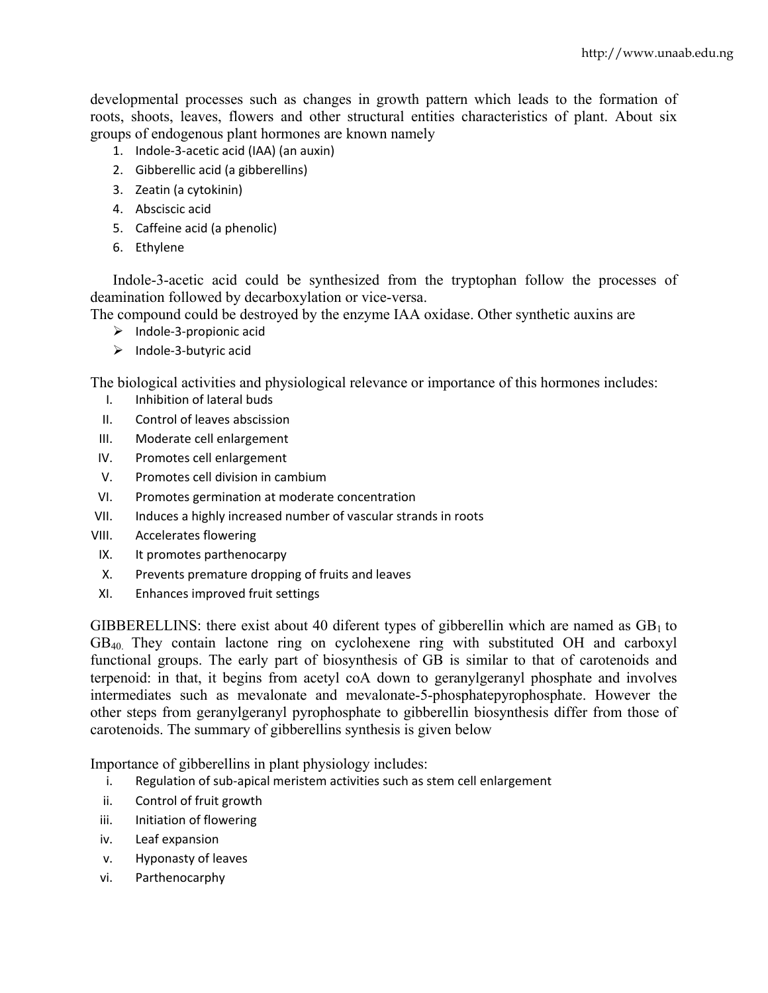developmental processes such as changes in growth pattern which leads to the formation of roots, shoots, leaves, flowers and other structural entities characteristics of plant. About six groups of endogenous plant hormones are known namely

- 1. Indole‐3‐acetic acid (IAA) (an auxin)
- 2. Gibberellic acid (a gibberellins)
- 3. Zeatin (a cytokinin)
- 4. Absciscic acid
- 5. Caffeine acid (a phenolic)
- 6. Ethylene

Indole-3-acetic acid could be synthesized from the tryptophan follow the processes of deamination followed by decarboxylation or vice-versa.

The compound could be destroyed by the enzyme IAA oxidase. Other synthetic auxins are

- ¾ Indole‐3‐propionic acid
- ¾ Indole‐3‐butyric acid

The biological activities and physiological relevance or importance of this hormones includes:

- I. Inhibition of lateral buds
- II. Control of leaves abscission
- III. Moderate cell enlargement
- IV. Promotes cell enlargement
- V. Promotes cell division in cambium
- VI. Promotes germination at moderate concentration
- VII. Induces a highly increased number of vascular strands in roots
- VIII. Accelerates flowering
- IX. It promotes parthenocarpy
- X. Prevents premature dropping of fruits and leaves
- XI. Enhances improved fruit settings

GIBBERELLINS: there exist about 40 diferent types of gibberellin which are named as  $GB<sub>1</sub>$  to GB40. They contain lactone ring on cyclohexene ring with substituted OH and carboxyl functional groups. The early part of biosynthesis of GB is similar to that of carotenoids and terpenoid: in that, it begins from acetyl coA down to geranylgeranyl phosphate and involves intermediates such as mevalonate and mevalonate-5-phosphatepyrophosphate. However the other steps from geranylgeranyl pyrophosphate to gibberellin biosynthesis differ from those of carotenoids. The summary of gibberellins synthesis is given below

Importance of gibberellins in plant physiology includes:

- i. Regulation of sub-apical meristem activities such as stem cell enlargement
- ii. Control of fruit growth
- iii. Initiation of flowering
- iv. Leaf expansion
- v. Hyponasty of leaves
- vi. Parthenocarphy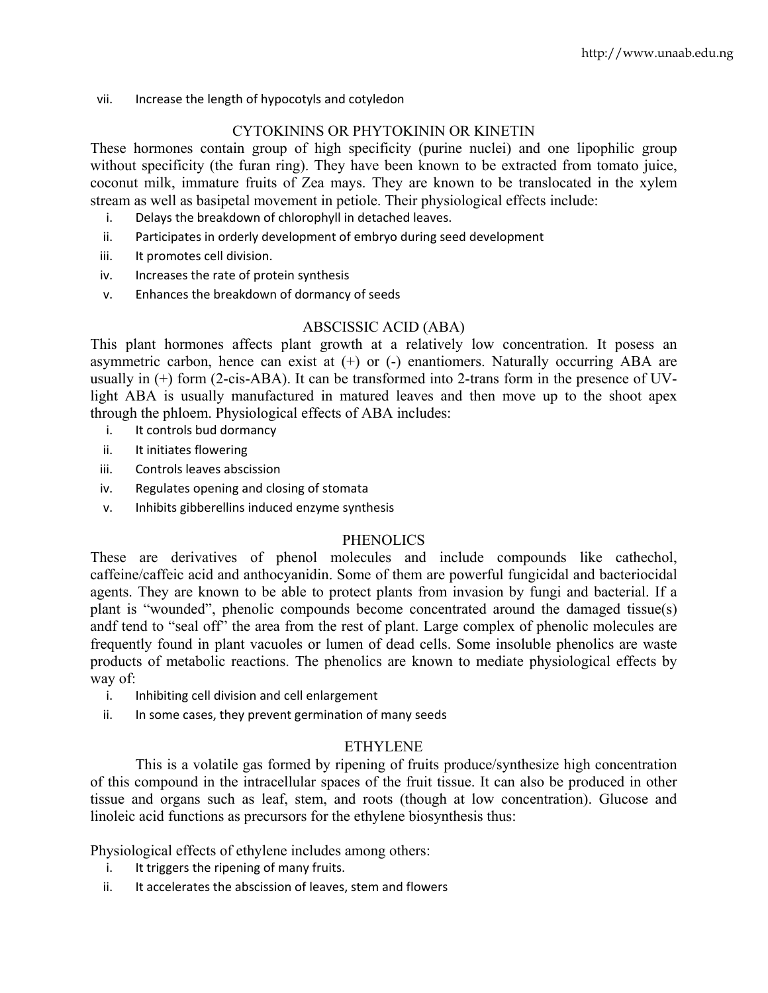vii. Increase the length of hypocotyls and cotyledon

# CYTOKININS OR PHYTOKININ OR KINETIN

These hormones contain group of high specificity (purine nuclei) and one lipophilic group without specificity (the furan ring). They have been known to be extracted from tomato juice, coconut milk, immature fruits of Zea mays. They are known to be translocated in the xylem stream as well as basipetal movement in petiole. Their physiological effects include:

- i. Delays the breakdown of chlorophyll in detached leaves.
- ii. Participates in orderly development of embryo during seed development
- iii. It promotes cell division.
- iv. Increases the rate of protein synthesis
- v. Enhances the breakdown of dormancy of seeds

# ABSCISSIC ACID (ABA)

This plant hormones affects plant growth at a relatively low concentration. It posess an asymmetric carbon, hence can exist at  $(+)$  or  $(-)$  enantiomers. Naturally occurring ABA are usually in (+) form (2-cis-ABA). It can be transformed into 2-trans form in the presence of UVlight ABA is usually manufactured in matured leaves and then move up to the shoot apex through the phloem. Physiological effects of ABA includes:

- i. It controls bud dormancy
- ii. It initiates flowering
- iii. Controls leaves abscission
- iv. Regulates opening and closing of stomata
- v. Inhibits gibberellins induced enzyme synthesis

# **PHENOLICS**

These are derivatives of phenol molecules and include compounds like cathechol, caffeine/caffeic acid and anthocyanidin. Some of them are powerful fungicidal and bacteriocidal agents. They are known to be able to protect plants from invasion by fungi and bacterial. If a plant is "wounded", phenolic compounds become concentrated around the damaged tissue(s) andf tend to "seal off" the area from the rest of plant. Large complex of phenolic molecules are frequently found in plant vacuoles or lumen of dead cells. Some insoluble phenolics are waste products of metabolic reactions. The phenolics are known to mediate physiological effects by way of:

- i. Inhibiting cell division and cell enlargement
- ii. In some cases, they prevent germination of many seeds

# ETHYLENE

This is a volatile gas formed by ripening of fruits produce/synthesize high concentration of this compound in the intracellular spaces of the fruit tissue. It can also be produced in other tissue and organs such as leaf, stem, and roots (though at low concentration). Glucose and linoleic acid functions as precursors for the ethylene biosynthesis thus:

Physiological effects of ethylene includes among others:

- i. It triggers the ripening of many fruits.
- ii. It accelerates the abscission of leaves, stem and flowers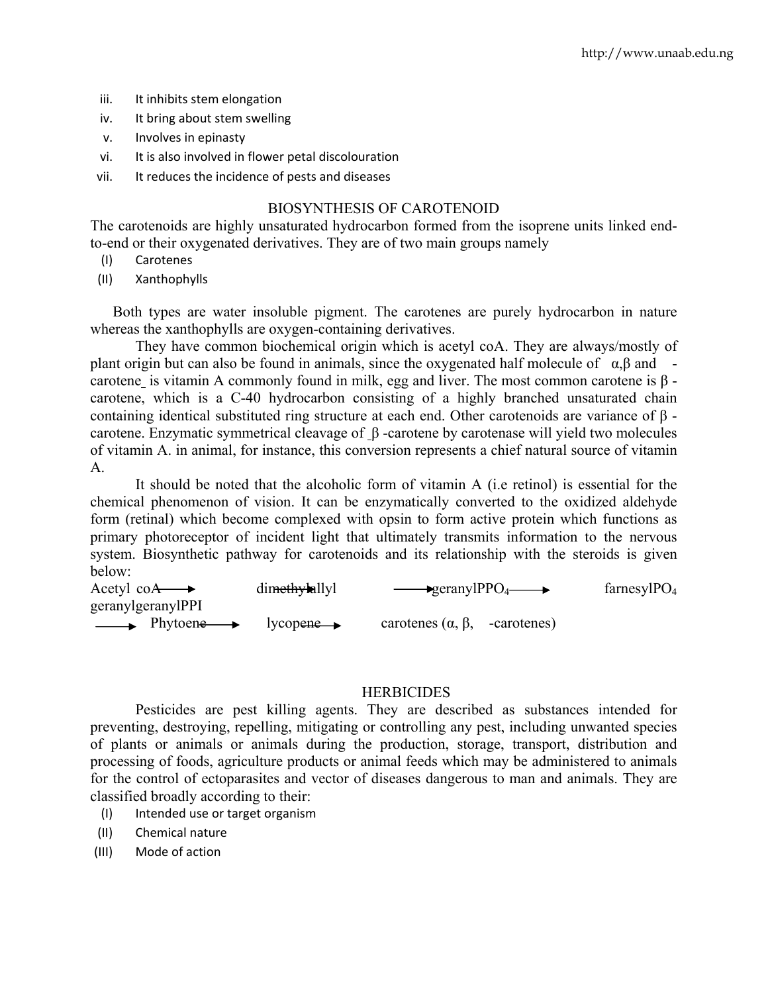- iii. It inhibits stem elongation
- iv. It bring about stem swelling
- v. Involves in epinasty
- vi. It is also involved in flower petal discolouration
- vii. It reduces the incidence of pests and diseases

#### BIOSYNTHESIS OF CAROTENOID

The carotenoids are highly unsaturated hydrocarbon formed from the isoprene units linked endto-end or their oxygenated derivatives. They are of two main groups namely

- (I) Carotenes
- (II) Xanthophylls

Both types are water insoluble pigment. The carotenes are purely hydrocarbon in nature whereas the xanthophylls are oxygen-containing derivatives.

They have common biochemical origin which is acetyl coA. They are always/mostly of plant origin but can also be found in animals, since the oxygenated half molecule of  $\alpha$ , $\beta$  and carotene is vitamin A commonly found in milk, egg and liver. The most common carotene is β carotene, which is a C-40 hydrocarbon consisting of a highly branched unsaturated chain containing identical substituted ring structure at each end. Other carotenoids are variance of β carotene. Enzymatic symmetrical cleavage of β -carotene by carotenase will yield two molecules of vitamin A. in animal, for instance, this conversion represents a chief natural source of vitamin A.

 It should be noted that the alcoholic form of vitamin A (i.e retinol) is essential for the chemical phenomenon of vision. It can be enzymatically converted to the oxidized aldehyde form (retinal) which become complexed with opsin to form active protein which functions as primary photoreceptor of incident light that ultimately transmits information to the nervous system. Biosynthetic pathway for carotenoids and its relationship with the steroids is given below:

| Acetyl co $A \rightarrow$                    | dimethylallyl          | $\longrightarrow$ geranylPPO <sub>4</sub> $\longrightarrow$ | farnesyl $PO4$ |
|----------------------------------------------|------------------------|-------------------------------------------------------------|----------------|
| geranylgeranylPPI                            |                        |                                                             |                |
| $\longrightarrow$ Phytoene $\longrightarrow$ | $lycopene \rightarrow$ | carotenes $(\alpha, \beta, \text{ -carotenes})$             |                |

#### **HERBICIDES**

 Pesticides are pest killing agents. They are described as substances intended for preventing, destroying, repelling, mitigating or controlling any pest, including unwanted species of plants or animals or animals during the production, storage, transport, distribution and processing of foods, agriculture products or animal feeds which may be administered to animals for the control of ectoparasites and vector of diseases dangerous to man and animals. They are classified broadly according to their:

- (I) Intended use or target organism
- (II) Chemical nature
- (III) Mode of action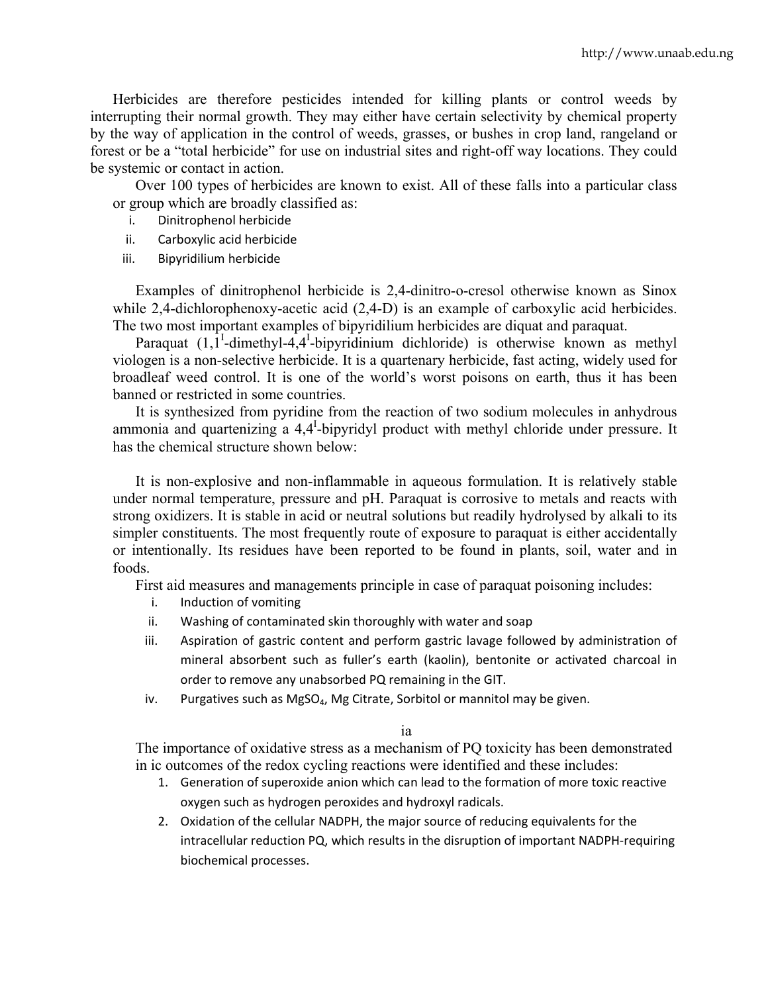Herbicides are therefore pesticides intended for killing plants or control weeds by interrupting their normal growth. They may either have certain selectivity by chemical property by the way of application in the control of weeds, grasses, or bushes in crop land, rangeland or forest or be a "total herbicide" for use on industrial sites and right-off way locations. They could be systemic or contact in action.

Over 100 types of herbicides are known to exist. All of these falls into a particular class or group which are broadly classified as:

- i. Dinitrophenol herbicide
- ii. Carboxylic acid herbicide
- iii. Bipyridilium herbicide

Examples of dinitrophenol herbicide is 2,4-dinitro-o-cresol otherwise known as Sinox while 2,4-dichlorophenoxy-acetic acid (2,4-D) is an example of carboxylic acid herbicides. The two most important examples of bipyridilium herbicides are diquat and paraquat.

Paraquat  $(1, 1^1$ -dimethyl-4,4<sup>1</sup>-bipyridinium dichloride) is otherwise known as methyl viologen is a non-selective herbicide. It is a quartenary herbicide, fast acting, widely used for broadleaf weed control. It is one of the world's worst poisons on earth, thus it has been banned or restricted in some countries.

It is synthesized from pyridine from the reaction of two sodium molecules in anhydrous ammonia and quartenizing a  $4.4<sup>T</sup>$ -bipyridyl product with methyl chloride under pressure. It has the chemical structure shown below:

It is non-explosive and non-inflammable in aqueous formulation. It is relatively stable under normal temperature, pressure and pH. Paraquat is corrosive to metals and reacts with strong oxidizers. It is stable in acid or neutral solutions but readily hydrolysed by alkali to its simpler constituents. The most frequently route of exposure to paraquat is either accidentally or intentionally. Its residues have been reported to be found in plants, soil, water and in foods.

First aid measures and managements principle in case of paraquat poisoning includes:

- i. Induction of vomiting
- ii. Washing of contaminated skin thoroughly with water and soap
- iii. Aspiration of gastric content and perform gastric lavage followed by administration of mineral absorbent such as fuller's earth (kaolin), bentonite or activated charcoal in order to remove any unabsorbed PQ remaining in the GIT.
- iv. Purgatives such as  $MgSO<sub>4</sub>$ , Mg Citrate, Sorbitol or mannitol may be given.

ia

The importance of oxidative stress as a mechanism of PQ toxicity has been demonstrated in ic outcomes of the redox cycling reactions were identified and these includes:

- 1. Generation of superoxide anion which can lead to the formation of more toxic reactive oxygen such as hydrogen peroxides and hydroxyl radicals.
- 2. Oxidation of the cellular NADPH, the major source of reducing equivalents for the intracellular reduction PQ, which results in the disruption of important NADPH‐requiring biochemical processes.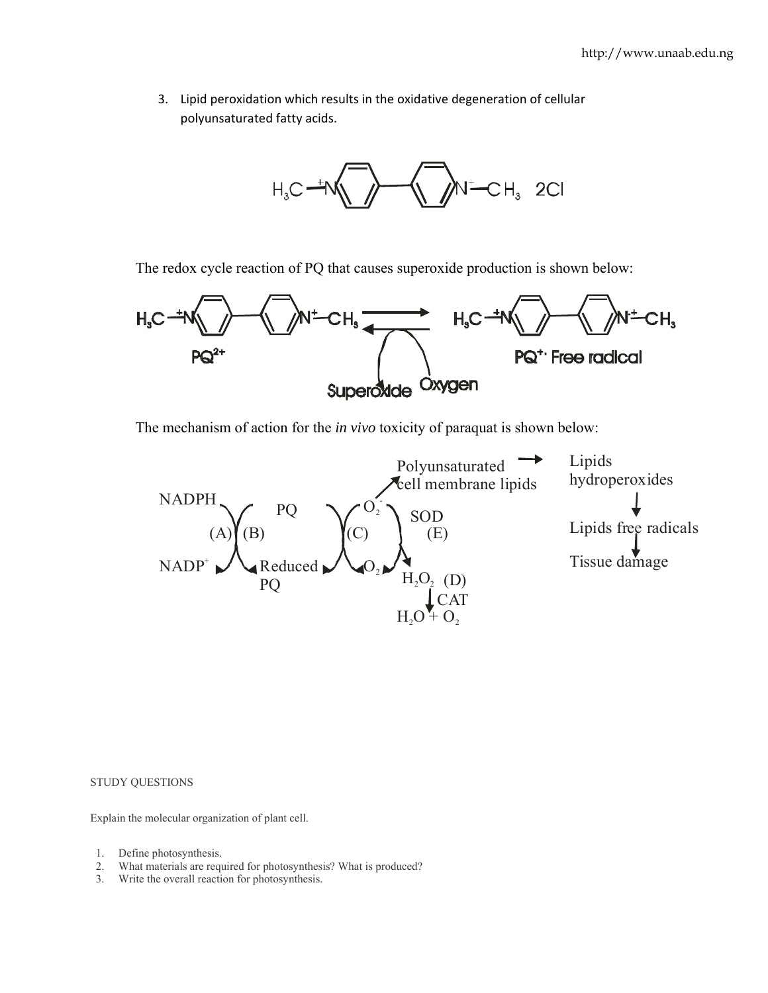3. Lipid peroxidation which results in the oxidative degeneration of cellular polyunsaturated fatty acids.



The redox cycle reaction of PQ that causes superoxide production is shown below:



The mechanism of action for the *in vivo* toxicity of paraquat is shown below:



STUDY QUESTIONS

Explain the molecular organization of plant cell.

- 1. Define photosynthesis.
- 2. What materials are required for photosynthesis? What is produced?
- 3. Write the overall reaction for photosynthesis.